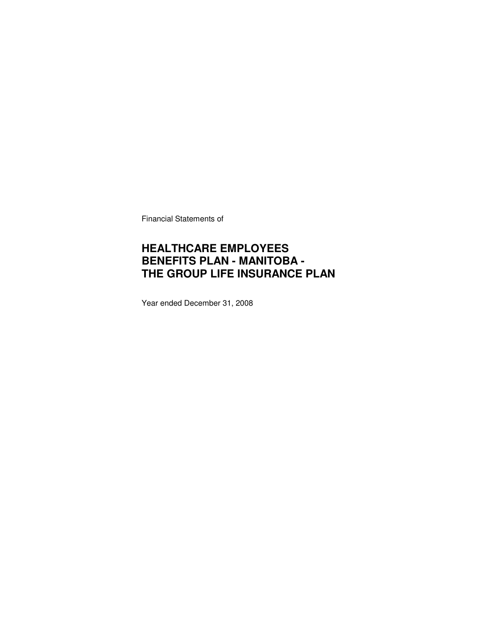Financial Statements of

### **HEALTHCARE EMPLOYEES BENEFITS PLAN - MANITOBA - THE GROUP LIFE INSURANCE PLAN**

Year ended December 31, 2008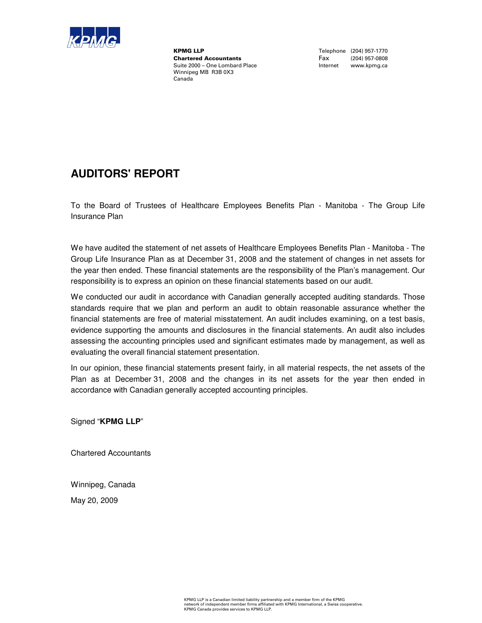

**KPMG LLP**<br>
Chartered Accountants<br>
Chartered Accountants<br>
Tax (204) 957-0808 **Chartered Accountants**<br>Suite 2000 - One Lombard Place Winnipeg MB R3B 0X3 Canada

Internet www.kpmg.ca

### **AUDITORS' REPORT**

To the Board of Trustees of Healthcare Employees Benefits Plan - Manitoba - The Group Life Insurance Plan

We have audited the statement of net assets of Healthcare Employees Benefits Plan - Manitoba - The Group Life Insurance Plan as at December 31, 2008 and the statement of changes in net assets for the year then ended. These financial statements are the responsibility of the Plan's management. Our responsibility is to express an opinion on these financial statements based on our audit.

We conducted our audit in accordance with Canadian generally accepted auditing standards. Those standards require that we plan and perform an audit to obtain reasonable assurance whether the financial statements are free of material misstatement. An audit includes examining, on a test basis, evidence supporting the amounts and disclosures in the financial statements. An audit also includes assessing the accounting principles used and significant estimates made by management, as well as evaluating the overall financial statement presentation.

In our opinion, these financial statements present fairly, in all material respects, the net assets of the Plan as at December 31, 2008 and the changes in its net assets for the year then ended in accordance with Canadian generally accepted accounting principles.

Signed "**KPMG LLP**"

Chartered Accountants

Winnipeg, Canada May 20, 2009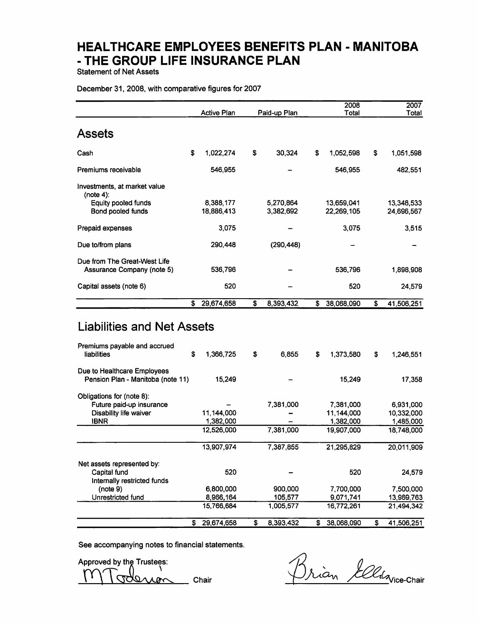**Statement of Net Assets** 

#### December 31, 2008, with comparative figures for 2007

|                                                                   |    | <b>Active Plan</b>      | Paid-up Plan           | 2008<br>Total            | 2007<br>Total            |
|-------------------------------------------------------------------|----|-------------------------|------------------------|--------------------------|--------------------------|
| <b>Assets</b>                                                     |    |                         |                        |                          |                          |
| Cash                                                              | S. | 1,022,274               | \$<br>30,324           | \$<br>1,052,598          | \$<br>1,051,598          |
| Premiums receivable                                               |    | 546,955                 |                        | 546.955                  | 482,551                  |
| Investments, at market value<br>(note $4$ ):                      |    |                         |                        |                          |                          |
| Equity pooled funds<br>Bond pooled funds                          |    | 8.388.177<br>18.886.413 | 5,270,864<br>3,382,692 | 13,659,041<br>22,269,105 | 13,348,533<br>24.696.567 |
| Prepaid expenses                                                  |    | 3,075                   |                        | 3.075                    | 3,515                    |
| Due to/from plans                                                 |    | 290.448                 | (290, 448)             |                          |                          |
| Due from The Great-West Life<br>Assurance Company (note 5)        |    | 536,796                 |                        | 536,796                  | 1,898,908                |
| Capital assets (note 6)                                           |    | 520                     |                        | 520                      | 24,579                   |
|                                                                   | \$ | 29,674,658              | \$<br>8,393,432        | \$<br>38,068,090         | \$<br>41,506,251         |
| <b>Liabilities and Net Assets</b><br>Premiums payable and accrued |    |                         |                        |                          |                          |

|                                                                  | S  | 29,674,658 | \$<br>8,393,432 | s. | 38,068,090 | \$<br>41,506,251 |
|------------------------------------------------------------------|----|------------|-----------------|----|------------|------------------|
|                                                                  |    | 15,766,684 | 1.005.577       |    | 16,772,261 | 21.494.342       |
| Unrestricted fund                                                |    | 8,966,164  | 105,577         |    | 9,071,741  | 13,969,763       |
| Internally restricted funds<br>(note 9)                          |    | 6,800,000  | 900,000         |    | 7,700,000  | 7,500,000        |
| Capital fund                                                     |    | 520        |                 |    | 520        | 24,579           |
| Net assets represented by:                                       |    |            |                 |    |            |                  |
|                                                                  |    | 13,907,974 | 7,387,855       |    | 21,295,829 | 20,011,909       |
|                                                                  |    | 12,526,000 | 7,381,000       |    | 19,907,000 | 18,748,000       |
| <b>IBNR</b>                                                      |    | 1,382,000  |                 |    | 1,382,000  | 1,485,000        |
| Disability life waiver                                           |    | 11,144,000 |                 |    | 11.144,000 | 10,332,000       |
| Obligations for (note 8):<br>Future paid-up insurance            |    |            | 7,381,000       |    | 7,381,000  | 6,931,000        |
| Due to Healthcare Employees<br>Pension Plan - Manitoba (note 11) |    | 15,249     |                 |    | 15,249     | 17,358           |
| Premiums payable and accrued<br><b>liabilities</b>               | \$ | 1,366,725  | \$<br>6.855     | \$ | 1,373,580  | \$<br>1.246,551  |

See accompanying notes to financial statements.

Approved by the Trustees: Chair ron

Brian *Ellis*vice-Chair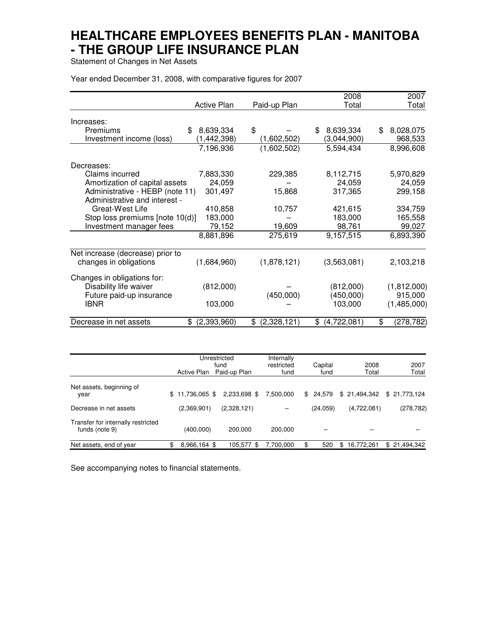Statement of Changes in Net Assets

Year ended December 31, 2008, with comparative figures for 2007

|                                  |                    |                  | 2008             | 2007             |
|----------------------------------|--------------------|------------------|------------------|------------------|
|                                  | <b>Active Plan</b> | Paid-up Plan     | Total            | Total            |
| Increases:                       |                    |                  |                  |                  |
|                                  |                    |                  |                  |                  |
| Premiums                         | 8,639,334<br>\$    | \$               | 8,639,334<br>\$  | 8,028,075<br>\$  |
| Investment income (loss)         | (1,442,398)        | (1,602,502)      | (3,044,900)      | 968,533          |
|                                  | 7,196,936          | (1,602,502)      | 5,594,434        | 8,996,608        |
| Decreases:                       |                    |                  |                  |                  |
| Claims incurred                  | 7,883,330          | 229,385          | 8,112,715        | 5,970,829        |
| Amortization of capital assets   | 24,059             |                  | 24,059           | 24,059           |
| Administrative - HEBP (note 11)  | 301,497            | 15,868           | 317,365          | 299,158          |
| Administrative and interest -    |                    |                  |                  |                  |
| Great-West Life                  | 410,858            | 10,757           | 421,615          | 334,759          |
|                                  |                    |                  |                  |                  |
| Stop loss premiums [note 10(d)]  | 183,000            |                  | 183,000          | 165,558          |
| Investment manager fees          | 79,152             | 19,609           | 98,761           | 99,027           |
|                                  | 8,881,896          | 275,619          | 9,157,515        | 6,893,390        |
| Net increase (decrease) prior to |                    |                  |                  |                  |
| changes in obligations           | (1,684,960)        | (1,878,121)      | (3,563,081)      | 2,103,218        |
| Changes in obligations for:      |                    |                  |                  |                  |
| Disability life waiver           | (812,000)          |                  | (812,000)        | (1,812,000)      |
| Future paid-up insurance         |                    | (450,000)        | (450,000)        | 915,000          |
| <b>IBNR</b>                      | 103,000            |                  | 103,000          | (1,485,000)      |
|                                  |                    |                  |                  |                  |
| Decrease in net assets           | (2,393,960)<br>\$  | (2,328,121)<br>S | (4,722,081)<br>S | \$<br>(278, 782) |

|                                                      | <b>Active Plan</b> | Unrestricted<br>fund<br>Paid-up Plan | Internally<br>restricted<br>fund | Capital<br>fund | 2008<br>Total     | 2007<br>Total |
|------------------------------------------------------|--------------------|--------------------------------------|----------------------------------|-----------------|-------------------|---------------|
| Net assets, beginning of<br>year                     | $$11,736,065$ \$   | 2,233,698 \$                         | 7.500.000                        | \$ 24.579       | \$21,494,342      | \$21.773.124  |
| Decrease in net assets                               | (2,369,901)        | (2,328,121)                          |                                  | (24, 059)       | (4,722,081)       | (278, 782)    |
| Transfer for internally restricted<br>funds (note 9) | (400,000)          | 200.000                              | 200,000                          |                 |                   |               |
| Net assets, end of year                              | 8,966,164 \$       | 105.577<br>\$                        | 7.700.000                        | 520             | 16,772,261<br>\$. | \$21,494,342  |

See accompanying notes to financial statements.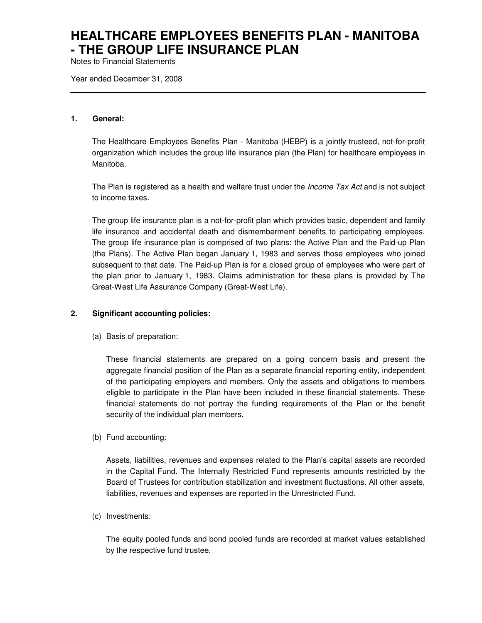Notes to Financial Statements

Year ended December 31, 2008

#### **1. General:**

The Healthcare Employees Benefits Plan - Manitoba (HEBP) is a jointly trusteed, not-for-profit organization which includes the group life insurance plan (the Plan) for healthcare employees in Manitoba.

The Plan is registered as a health and welfare trust under the *Income Tax Act* and is not subject to income taxes.

The group life insurance plan is a not-for-profit plan which provides basic, dependent and family life insurance and accidental death and dismemberment benefits to participating employees. The group life insurance plan is comprised of two plans: the Active Plan and the Paid-up Plan (the Plans). The Active Plan began January 1, 1983 and serves those employees who joined subsequent to that date. The Paid-up Plan is for a closed group of employees who were part of the plan prior to January 1, 1983. Claims administration for these plans is provided by The Great-West Life Assurance Company (Great-West Life).

### **2. Significant accounting policies:**

(a) Basis of preparation:

These financial statements are prepared on a going concern basis and present the aggregate financial position of the Plan as a separate financial reporting entity, independent of the participating employers and members. Only the assets and obligations to members eligible to participate in the Plan have been included in these financial statements. These financial statements do not portray the funding requirements of the Plan or the benefit security of the individual plan members.

(b) Fund accounting:

Assets, liabilities, revenues and expenses related to the Plan's capital assets are recorded in the Capital Fund. The Internally Restricted Fund represents amounts restricted by the Board of Trustees for contribution stabilization and investment fluctuations. All other assets, liabilities, revenues and expenses are reported in the Unrestricted Fund.

(c) Investments:

The equity pooled funds and bond pooled funds are recorded at market values established by the respective fund trustee.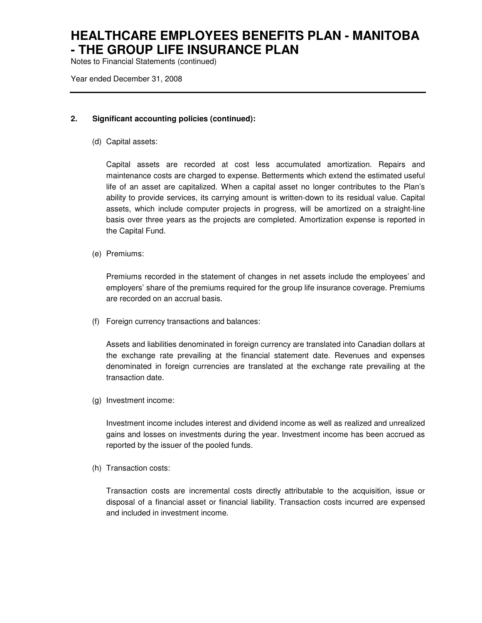Notes to Financial Statements (continued)

Year ended December 31, 2008

### **2. Significant accounting policies (continued):**

(d) Capital assets:

Capital assets are recorded at cost less accumulated amortization. Repairs and maintenance costs are charged to expense. Betterments which extend the estimated useful life of an asset are capitalized. When a capital asset no longer contributes to the Plan's ability to provide services, its carrying amount is written-down to its residual value. Capital assets, which include computer projects in progress, will be amortized on a straight-line basis over three years as the projects are completed. Amortization expense is reported in the Capital Fund.

(e) Premiums:

Premiums recorded in the statement of changes in net assets include the employees' and employers' share of the premiums required for the group life insurance coverage. Premiums are recorded on an accrual basis.

(f) Foreign currency transactions and balances:

Assets and liabilities denominated in foreign currency are translated into Canadian dollars at the exchange rate prevailing at the financial statement date. Revenues and expenses denominated in foreign currencies are translated at the exchange rate prevailing at the transaction date.

(g) Investment income:

Investment income includes interest and dividend income as well as realized and unrealized gains and losses on investments during the year. Investment income has been accrued as reported by the issuer of the pooled funds.

(h) Transaction costs:

Transaction costs are incremental costs directly attributable to the acquisition, issue or disposal of a financial asset or financial liability. Transaction costs incurred are expensed and included in investment income.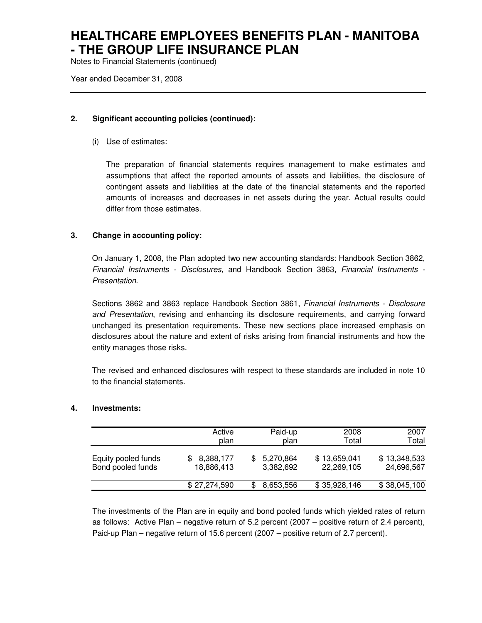Notes to Financial Statements (continued)

Year ended December 31, 2008

### **2. Significant accounting policies (continued):**

(i) Use of estimates:

The preparation of financial statements requires management to make estimates and assumptions that affect the reported amounts of assets and liabilities, the disclosure of contingent assets and liabilities at the date of the financial statements and the reported amounts of increases and decreases in net assets during the year. Actual results could differ from those estimates.

### **3. Change in accounting policy:**

On January 1, 2008, the Plan adopted two new accounting standards: Handbook Section 3862, Financial Instruments - Disclosures, and Handbook Section 3863, Financial Instruments - Presentation.

Sections 3862 and 3863 replace Handbook Section 3861, Financial Instruments - Disclosure and Presentation, revising and enhancing its disclosure requirements, and carrying forward unchanged its presentation requirements. These new sections place increased emphasis on disclosures about the nature and extent of risks arising from financial instruments and how the entity manages those risks.

The revised and enhanced disclosures with respect to these standards are included in note 10 to the financial statements.

### **4. Investments:**

|                     | Active       | Paid-up   | 2008         | 2007         |
|---------------------|--------------|-----------|--------------|--------------|
|                     | plan         | plan      | Total        | Total        |
| Equity pooled funds | 8,388,177    | 5,270,864 | \$13,659,041 | \$13,348,533 |
| Bond pooled funds   | 18,886,413   | 3,382,692 | 22,269,105   | 24,696,567   |
|                     | \$27,274,590 | 8,653,556 | \$35,928,146 | \$38,045,100 |

The investments of the Plan are in equity and bond pooled funds which yielded rates of return as follows: Active Plan – negative return of 5.2 percent (2007 – positive return of 2.4 percent), Paid-up Plan – negative return of 15.6 percent (2007 – positive return of 2.7 percent).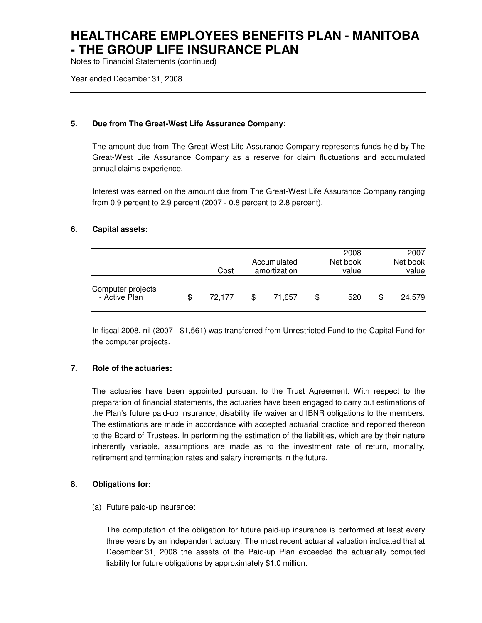Notes to Financial Statements (continued)

Year ended December 31, 2008

### **5. Due from The Great-West Life Assurance Company:**

The amount due from The Great-West Life Assurance Company represents funds held by The Great-West Life Assurance Company as a reserve for claim fluctuations and accumulated annual claims experience.

Interest was earned on the amount due from The Great-West Life Assurance Company ranging from 0.9 percent to 2.9 percent (2007 - 0.8 percent to 2.8 percent).

### **6. Capital assets:**

|                                    |              |   |              | 2008      | 2007         |
|------------------------------------|--------------|---|--------------|-----------|--------------|
|                                    |              |   | Accumulated  | Net book  | Net book     |
|                                    | Cost         |   | amortization | value     | value        |
| Computer projects<br>- Active Plan | \$<br>72.177 | S | 71.657       | \$<br>520 | \$<br>24.579 |

In fiscal 2008, nil (2007 - \$1,561) was transferred from Unrestricted Fund to the Capital Fund for the computer projects.

### **7. Role of the actuaries:**

The actuaries have been appointed pursuant to the Trust Agreement. With respect to the preparation of financial statements, the actuaries have been engaged to carry out estimations of the Plan's future paid-up insurance, disability life waiver and IBNR obligations to the members. The estimations are made in accordance with accepted actuarial practice and reported thereon to the Board of Trustees. In performing the estimation of the liabilities, which are by their nature inherently variable, assumptions are made as to the investment rate of return, mortality, retirement and termination rates and salary increments in the future.

### **8. Obligations for:**

(a) Future paid-up insurance:

The computation of the obligation for future paid-up insurance is performed at least every three years by an independent actuary. The most recent actuarial valuation indicated that at December 31, 2008 the assets of the Paid-up Plan exceeded the actuarially computed liability for future obligations by approximately \$1.0 million.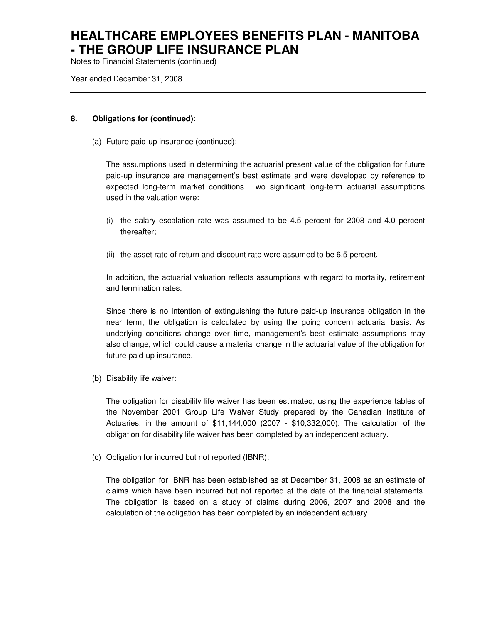Notes to Financial Statements (continued)

Year ended December 31, 2008

### **8. Obligations for (continued):**

(a) Future paid-up insurance (continued):

The assumptions used in determining the actuarial present value of the obligation for future paid-up insurance are management's best estimate and were developed by reference to expected long-term market conditions. Two significant long-term actuarial assumptions used in the valuation were:

- (i) the salary escalation rate was assumed to be 4.5 percent for 2008 and 4.0 percent thereafter;
- (ii) the asset rate of return and discount rate were assumed to be 6.5 percent.

In addition, the actuarial valuation reflects assumptions with regard to mortality, retirement and termination rates.

Since there is no intention of extinguishing the future paid-up insurance obligation in the near term, the obligation is calculated by using the going concern actuarial basis. As underlying conditions change over time, management's best estimate assumptions may also change, which could cause a material change in the actuarial value of the obligation for future paid-up insurance.

(b) Disability life waiver:

The obligation for disability life waiver has been estimated, using the experience tables of the November 2001 Group Life Waiver Study prepared by the Canadian Institute of Actuaries, in the amount of \$11,144,000 (2007 - \$10,332,000). The calculation of the obligation for disability life waiver has been completed by an independent actuary.

(c) Obligation for incurred but not reported (IBNR):

The obligation for IBNR has been established as at December 31, 2008 as an estimate of claims which have been incurred but not reported at the date of the financial statements. The obligation is based on a study of claims during 2006, 2007 and 2008 and the calculation of the obligation has been completed by an independent actuary.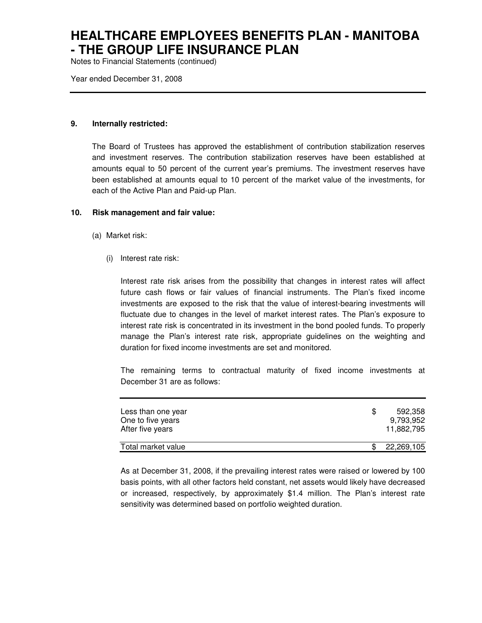Notes to Financial Statements (continued)

Year ended December 31, 2008

### **9. Internally restricted:**

The Board of Trustees has approved the establishment of contribution stabilization reserves and investment reserves. The contribution stabilization reserves have been established at amounts equal to 50 percent of the current year's premiums. The investment reserves have been established at amounts equal to 10 percent of the market value of the investments, for each of the Active Plan and Paid-up Plan.

#### **10. Risk management and fair value:**

- (a) Market risk:
	- (i) Interest rate risk:

Interest rate risk arises from the possibility that changes in interest rates will affect future cash flows or fair values of financial instruments. The Plan's fixed income investments are exposed to the risk that the value of interest-bearing investments will fluctuate due to changes in the level of market interest rates. The Plan's exposure to interest rate risk is concentrated in its investment in the bond pooled funds. To properly manage the Plan's interest rate risk, appropriate guidelines on the weighting and duration for fixed income investments are set and monitored.

The remaining terms to contractual maturity of fixed income investments at December 31 are as follows:

| Less than one year<br>One to five years<br>After five years | \$. | 592.358<br>9.793.952<br>11.882.795 |
|-------------------------------------------------------------|-----|------------------------------------|
| Total market value                                          |     | 22,269,105                         |

As at December 31, 2008, if the prevailing interest rates were raised or lowered by 100 basis points, with all other factors held constant, net assets would likely have decreased or increased, respectively, by approximately \$1.4 million. The Plan's interest rate sensitivity was determined based on portfolio weighted duration.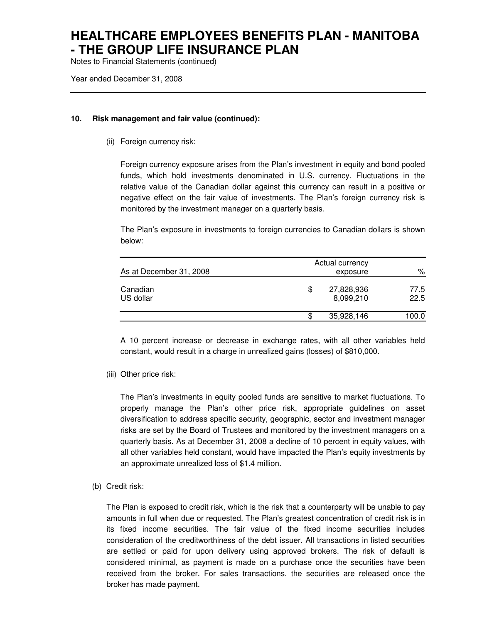Notes to Financial Statements (continued)

Year ended December 31, 2008

#### **10. Risk management and fair value (continued):**

(ii) Foreign currency risk:

Foreign currency exposure arises from the Plan's investment in equity and bond pooled funds, which hold investments denominated in U.S. currency. Fluctuations in the relative value of the Canadian dollar against this currency can result in a positive or negative effect on the fair value of investments. The Plan's foreign currency risk is monitored by the investment manager on a quarterly basis.

The Plan's exposure in investments to foreign currencies to Canadian dollars is shown below:

| As at December 31, 2008 | Actual currency<br>exposure   | ℅            |
|-------------------------|-------------------------------|--------------|
| Canadian<br>US dollar   | \$<br>27,828,936<br>8,099,210 | 77.5<br>22.5 |
|                         | \$<br>35,928,146              | 100.0        |

A 10 percent increase or decrease in exchange rates, with all other variables held constant, would result in a charge in unrealized gains (losses) of \$810,000.

(iii) Other price risk:

The Plan's investments in equity pooled funds are sensitive to market fluctuations. To properly manage the Plan's other price risk, appropriate guidelines on asset diversification to address specific security, geographic, sector and investment manager risks are set by the Board of Trustees and monitored by the investment managers on a quarterly basis. As at December 31, 2008 a decline of 10 percent in equity values, with all other variables held constant, would have impacted the Plan's equity investments by an approximate unrealized loss of \$1.4 million.

(b) Credit risk:

The Plan is exposed to credit risk, which is the risk that a counterparty will be unable to pay amounts in full when due or requested. The Plan's greatest concentration of credit risk is in its fixed income securities. The fair value of the fixed income securities includes consideration of the creditworthiness of the debt issuer. All transactions in listed securities are settled or paid for upon delivery using approved brokers. The risk of default is considered minimal, as payment is made on a purchase once the securities have been received from the broker. For sales transactions, the securities are released once the broker has made payment.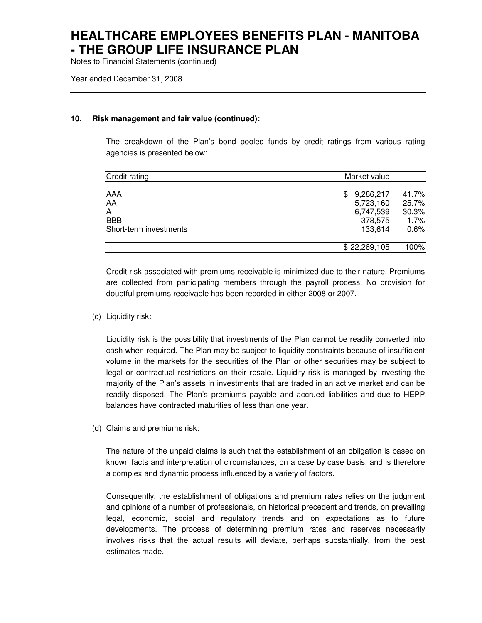Notes to Financial Statements (continued)

Year ended December 31, 2008

#### **10. Risk management and fair value (continued):**

The breakdown of the Plan's bond pooled funds by credit ratings from various rating agencies is presented below:

| Credit rating                                          | Market value                                                     |                                            |  |  |
|--------------------------------------------------------|------------------------------------------------------------------|--------------------------------------------|--|--|
| AAA<br>AA<br>A<br><b>BBB</b><br>Short-term investments | 9,286,217<br>\$.<br>5,723,160<br>6,747,539<br>378,575<br>133,614 | 41.7%<br>25.7%<br>30.3%<br>$1.7\%$<br>0.6% |  |  |
|                                                        | \$22,269,105                                                     | 100%                                       |  |  |

Credit risk associated with premiums receivable is minimized due to their nature. Premiums are collected from participating members through the payroll process. No provision for doubtful premiums receivable has been recorded in either 2008 or 2007.

(c) Liquidity risk:

Liquidity risk is the possibility that investments of the Plan cannot be readily converted into cash when required. The Plan may be subject to liquidity constraints because of insufficient volume in the markets for the securities of the Plan or other securities may be subject to legal or contractual restrictions on their resale. Liquidity risk is managed by investing the majority of the Plan's assets in investments that are traded in an active market and can be readily disposed. The Plan's premiums payable and accrued liabilities and due to HEPP balances have contracted maturities of less than one year.

(d) Claims and premiums risk:

The nature of the unpaid claims is such that the establishment of an obligation is based on known facts and interpretation of circumstances, on a case by case basis, and is therefore a complex and dynamic process influenced by a variety of factors.

Consequently, the establishment of obligations and premium rates relies on the judgment and opinions of a number of professionals, on historical precedent and trends, on prevailing legal, economic, social and regulatory trends and on expectations as to future developments. The process of determining premium rates and reserves necessarily involves risks that the actual results will deviate, perhaps substantially, from the best estimates made.